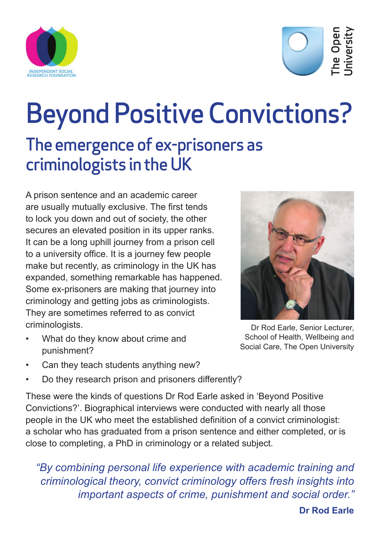



## Beyond Positive Convictions? The emergence of ex-prisoners as criminologists in the UK

A prison sentence and an academic career are usually mutually exclusive. The first tends to lock you down and out of society, the other secures an elevated position in its upper ranks. It can be a long uphill journey from a prison cell to a university office. It is a journey few people make but recently, as criminology in the UK has expanded, something remarkable has happened. Some ex-prisoners are making that journey into criminology and getting jobs as criminologists. They are sometimes referred to as convict criminologists.



Dr Rod Earle, Senior Lecturer, School of Health, Wellbeing and Social Care, The Open University

- What do they know about crime and punishment?
- Can they teach students anything new?
- Do they research prison and prisoners differently?

These were the kinds of questions Dr Rod Earle asked in 'Beyond Positive Convictions?'. Biographical interviews were conducted with nearly all those people in the UK who meet the established definition of a convict criminologist: a scholar who has graduated from a prison sentence and either completed, or is close to completing, a PhD in criminology or a related subject.

*"By combining personal life experience with academic training and criminological theory, convict criminology offers fresh insights into important aspects of crime, punishment and social order."*